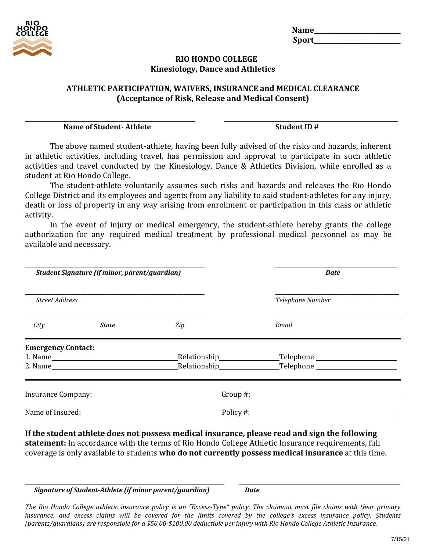| <b>Name</b> |  |
|-------------|--|
| Sport_      |  |

#### **RIO HONDO COLLEGE Kinesiology, Dance and Athletics**

#### **ATHLETIC PARTICIPATION, WAIVERS, INSURANCE and MEDICAL CLEARANCE (Acceptance of Risk, Release and Medical Consent)**

**Name of Student- Athlete Student ID #**

The above named student-athlete, having been fully advised of the risks and hazards, inherent in athletic activities, including travel, has permission and approval to participate in such athletic activities and travel conducted by the Kinesiology, Dance & Athletics Division, while enrolled as a student at Rio Hondo College.

The student-athlete voluntarily assumes such risks and hazards and releases the Rio Hondo College District and its employees and agents from any liability to said student-athletes for any injury, death or loss of property in any way arising from enrollment or participation in this class or athletic activity.

In the event of injury or medical emergency, the student-athlete hereby grants the college authorization for any required medical treatment by professional medical personnel as may be available and necessary.

|                           | Student Signature (if minor, parent/guardian) |     | <b>Date</b>                                                                                                                                                                                                                                                                                                |  |  |
|---------------------------|-----------------------------------------------|-----|------------------------------------------------------------------------------------------------------------------------------------------------------------------------------------------------------------------------------------------------------------------------------------------------------------|--|--|
| <b>Street Address</b>     |                                               |     | Telephone Number                                                                                                                                                                                                                                                                                           |  |  |
| City                      | <b>State</b>                                  | Zip | Email                                                                                                                                                                                                                                                                                                      |  |  |
| <b>Emergency Contact:</b> |                                               |     |                                                                                                                                                                                                                                                                                                            |  |  |
|                           |                                               |     |                                                                                                                                                                                                                                                                                                            |  |  |
|                           |                                               |     |                                                                                                                                                                                                                                                                                                            |  |  |
|                           |                                               |     | Insurance Company: The Company of the Company of Croup #:                                                                                                                                                                                                                                                  |  |  |
|                           |                                               |     | Name of Insured: <u>Name of Insured:</u> Name of Insured: 2008. The set of the set of the set of the set of the set of the set of the set of the set of the set of the set of the set of the set of the set of the set of the set o                                                                        |  |  |
|                           |                                               |     | If the student athlete does not possess medical insurance, please read and sign the following<br>statement: In accordance with the terms of Rio Hondo College Athletic Insurance requirements, full<br>coverage is only available to students who do not currently possess medical insurance at this time. |  |  |

#### *Signature of Student-Athlete (if minor parent/guardian) Date*

*The Rio Hondo College athletic insurance policy is an "Excess-Type" policy. The claimant must file claims with their primary* insurance, and excess claims will be covered for the limits covered by the college's excess insurance policy. Students (parents/guardians) are responsible for a \$50.00-\$100.00 deductible per injury with Rio Hondo College Athletic Insurance.

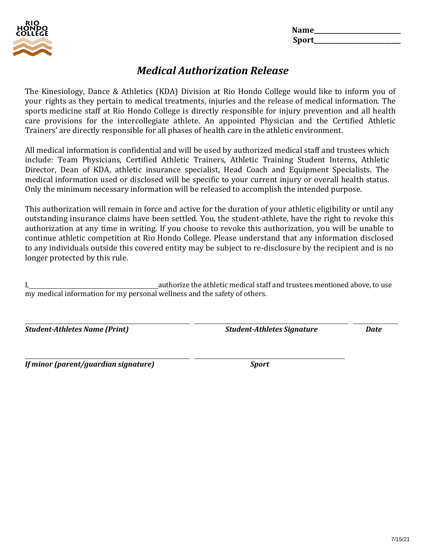

**Name\_\_\_\_\_\_\_\_\_\_\_\_\_\_\_\_\_\_\_\_\_\_\_\_\_\_\_\_ Sport\_\_\_\_\_\_\_\_\_\_\_\_\_\_\_\_\_\_\_\_\_\_\_\_\_\_\_\_**

# *Medical Authorization Release*

The Kinesiology, Dance & Athletics (KDA) Division at Rio Hondo College would like to inform you of your rights as they pertain to medical treatments, injuries and the release of medical information. The sports medicine staff at Rio Hondo College is directly responsible for injury prevention and all health care provisions for the intercollegiate athlete. An appointed Physician and the Certified Athletic Trainers' are directly responsible for all phases of health care in the athletic environment.

All medical information is confidential and will be used by authorized medical staff and trustees which include: Team Physicians, Certified Athletic Trainers, Athletic Training Student Interns, Athletic Director, Dean of KDA, athletic insurance specialist, Head Coach and Equipment Specialists. The medical information used or disclosed will be specific to your current injury or overall health status. Only the minimum necessary information will be released to accomplish the intended purpose.

This authorization will remain in force and active for the duration of your athletic eligibility or until any outstanding insurance claims have been settled. You, the student-athlete, have the right to revoke this authorization at any time in writing. If you choose to revoke this authorization, you will be unable to continue athletic competition at Rio Hondo College. Please understand that any information disclosed to any individuals outside this covered entity may be subject to re-disclosure by the recipient and is no longer protected by this rule.

I, authorize the athletic medical staff and trustees mentioned above, to use my medical information for my personal wellness and the safety of others.

*Student-Athletes Name (Print) Student-Athletes Signature Date*

*If minor (parent/guardian signature) Sport*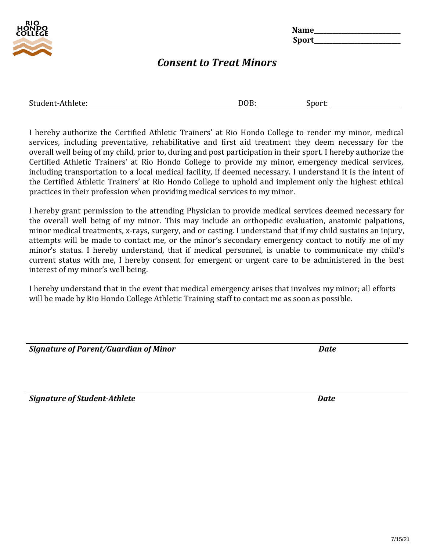

**Name\_\_\_\_\_\_\_\_\_\_\_\_\_\_\_\_\_\_\_\_\_\_\_\_\_\_\_\_ Sport\_\_\_\_\_\_\_\_\_\_\_\_\_\_\_\_\_\_\_\_\_\_\_\_\_\_\_\_**

## *Consent to Treat Minors*

| Student-Athlete: | $\Omega$ | √n∩rt |
|------------------|----------|-------|
|                  |          |       |

I hereby authorize the Certified Athletic Trainers' at Rio Hondo College to render my minor, medical services, including preventative, rehabilitative and first aid treatment they deem necessary for the overall well being of my child, prior to, during and post participation in their sport. I hereby authorize the Certified Athletic Trainers' at Rio Hondo College to provide my minor, emergency medical services, including transportation to a local medical facility, if deemed necessary. I understand it is the intent of the Certified Athletic Trainers' at Rio Hondo College to uphold and implement only the highest ethical practices in their profession when providing medical services to my minor.

I hereby grant permission to the attending Physician to provide medical services deemed necessary for the overall well being of my minor. This may include an orthopedic evaluation, anatomic palpations, minor medical treatments, x-rays, surgery, and or casting. I understand that if my child sustains an injury, attempts will be made to contact me, or the minor's secondary emergency contact to notify me of my minor's status. I hereby understand, that if medical personnel, is unable to communicate my child's current status with me, I hereby consent for emergent or urgent care to be administered in the best interest of my minor's well being.

I hereby understand that in the event that medical emergency arises that involves my minor; all efforts will be made by Rio Hondo College Athletic Training staff to contact me as soon as possible.

| Signature of Parent/Guardian of Minor | Date |
|---------------------------------------|------|
|                                       |      |

*Signature of Student-Athlete Date*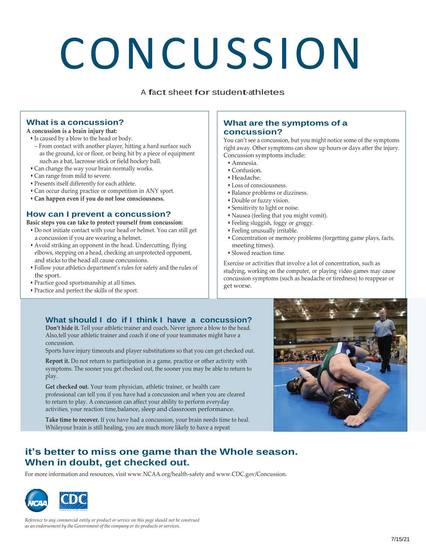# CONCUSSION

<sup>A</sup> fact sheet for student-athletes

#### **What is a concussion?**

#### **A concussion is a brain injury that:**

- Is caused by a blow to the head or body.
- From contact with another player, hitting a hard surface such as the ground, ice or floor, or being hit by a piece of equipment such as a bat, lacrosse stick or field hockey ball.
- Can change the way your brain normally works.
- Can range from mild to severe.
- Presents itself differently for each athlete.
- Can occur during practice or competition in ANY sport.
- **Can happen even if you do not lose consciousness.**

#### **How can I prevent a concussion?**

**Basic steps you can take to protect yourself from concussion:**

- Do not initiate contact with your head or helmet. You can still get a concussion if you are wearing a helmet.
- Avoid striking an opponent in the head. Undercutting, flying elbows, stepping on a head, checking an unprotected opponent, and sticks to the head all cause concussions.
- Follow your athletics department's rules for safety and the rules of the sport.
- Practice good sportsmanship at all times.
- Practice and perfect the skills of the sport.

#### **What are the symptoms of a concussion?**

You can't see a concussion, but you might notice some of the symptoms right away. Other symptoms can show up hours or days after the injury. Concussion symptoms include:

- Amnesia.
- Confusion.
- Headache.
- Loss of consciousness.
- Balance problems or dizziness.
- Double or fuzzy vision.
- Sensitivity to light or noise.
- Nausea (feeling that you might vomit).
- Feeling sluggish, foggy or groggy.
- Feeling unusually irritable.
- Concentration or memory problems (forgetting game plays, facts, meeting times).
- Slowed reaction time.

Exercise or activities that involve a lot of concentration, such as studying, working on the computer, or playing video games may cause concussion symptoms (such as headache or tiredness) to reappear or get worse.

#### **What should I do if I think I have a concussion?**

**Don't hide it.** Tell your athletic trainer and coach**.** Never ignore a blow to the head. Also,tell your athletic trainer and coach if one of your teammates might have a concussion.

Sports have injury timeouts and player substitutions so that you can get checked out.

**Report it.** Do not return to participation in a game, practice or other activity with symptoms. The sooner you get checked out, the sooner you may be able to return to play.

**Get checked out.** Your team physician, athletic trainer, or health care professional can tell you if you have had a concussion and when you are cleared to return to play. A concussion can affect your ability to perform everyday activities, your reaction time,balance, sleep and classroom performance.

**Take time to recover.** If you have had a concussion, your brain needs time to heal. Whileyour brain is still healing, you are much more likely to have a repeat

## **it's better to miss one game than the Whole season. When in doubt, get checked out.**

For more information and resources, visit [www.NCAA.org/health-safety](http://www.ncaa.org/health-safety) and [www.CDC.gov/Concussion.](http://www.cdc.gov/Concussion)



*Reference to any commercial entity or product or service on this page should not be construed as an endorsement by the Government of the company or its products or services.*

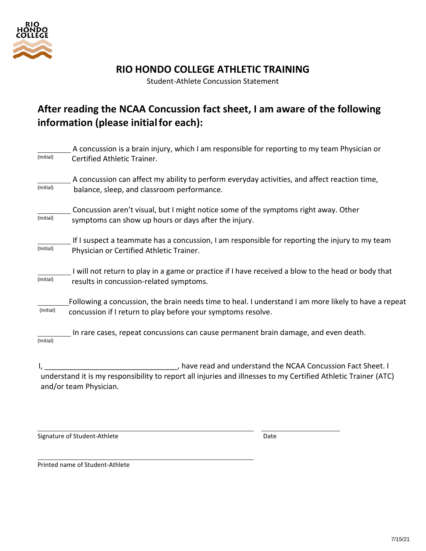

## **RIO HONDO COLLEGE ATHLETIC TRAINING**

Student-Athlete Concussion Statement

# **After reading the NCAA Concussion fact sheet, I am aware of the following information (please initialfor each):**

|           | A concussion is a brain injury, which I am responsible for reporting to my team Physician or                   |
|-----------|----------------------------------------------------------------------------------------------------------------|
| (Initial) | Certified Athletic Trainer.                                                                                    |
| (Initial) | A concussion can affect my ability to perform everyday activities, and affect reaction time,                   |
|           | balance, sleep, and classroom performance.                                                                     |
|           | Concussion aren't visual, but I might notice some of the symptoms right away. Other                            |
| (Initial) | symptoms can show up hours or days after the injury.                                                           |
|           | If I suspect a teammate has a concussion, I am responsible for reporting the injury to my team                 |
| (Initial) | Physician or Certified Athletic Trainer.                                                                       |
|           | I will not return to play in a game or practice if I have received a blow to the head or body that             |
| (Initial) | results in concussion-related symptoms.                                                                        |
|           | Following a concussion, the brain needs time to heal. I understand I am more likely to have a repeat           |
| (Initial) | concussion if I return to play before your symptoms resolve.                                                   |
|           | In rare cases, repeat concussions can cause permanent brain damage, and even death.                            |
| (Initial) |                                                                                                                |
|           | , have read and understand the NCAA Concussion Fact Sheet. I                                                   |
|           | understand it is my responsibility to report all injuries and illnesses to my Certified Athletic Trainer (ATC) |
|           | and/or team Physician.                                                                                         |
|           |                                                                                                                |

Signature of Student-Athlete **Date** Date Date

Printed name of Student-Athlete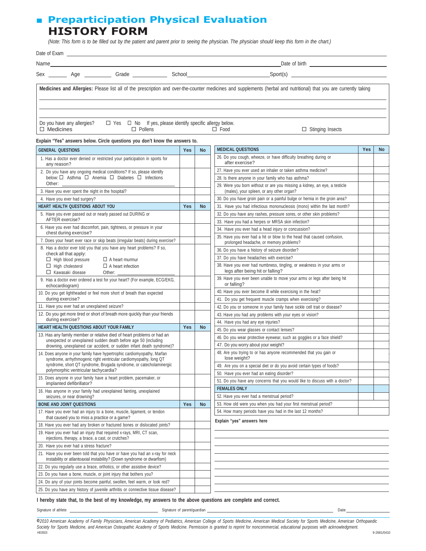## ■ **Preparticipation Physical Evaluation HISTORY FORM**

(Note: This form is to be filled out by the patient and parent prior to seeing the physician. The physician should keep this form in the chart.)

|                                                | Sex ________ Age __________ Grade ____________ School___________________________ |                |           |                          | Spot(s)                                                                                                                                                            |     |           |
|------------------------------------------------|----------------------------------------------------------------------------------|----------------|-----------|--------------------------|--------------------------------------------------------------------------------------------------------------------------------------------------------------------|-----|-----------|
|                                                |                                                                                  |                |           |                          | Medicines and Allergies: Please list all of the prescription and over-the-counter medicines and supplements (herbal and nutritional) that you are currently taking |     |           |
| Do you have any allergies?<br>$\Box$ Medicines | $\Box$ Yes $\Box$ No If yes, please identify specific allergy below.             | $\Box$ Pollens |           | $\Box$ Food              | $\Box$ Stinging Insects                                                                                                                                            |     |           |
|                                                | Explain "Yes" answers below. Circle questions you don't know the answers to.     |                |           |                          |                                                                                                                                                                    |     |           |
| <b>GENERAL QUESTIONS</b>                       |                                                                                  | <b>Yes</b>     | <b>No</b> | <b>MEDICAL QUESTIONS</b> |                                                                                                                                                                    | Yes | <b>No</b> |
|                                                |                                                                                  |                |           |                          |                                                                                                                                                                    |     |           |

| 1. Has a doctor ever denied or restricted your participation in sports for<br>any reason?                                                                                                                            |     |           | 26. Do you cough, wheeze, or have difficulty breathing during or<br>after exercise?                                    |  |
|----------------------------------------------------------------------------------------------------------------------------------------------------------------------------------------------------------------------|-----|-----------|------------------------------------------------------------------------------------------------------------------------|--|
| 2. Do you have any ongoing medical conditions? If so, please identify                                                                                                                                                |     |           | 27. Have you ever used an inhaler or taken asthma medicine?                                                            |  |
| below: □ Asthma □ Anemia □ Diabetes □ Infections                                                                                                                                                                     |     |           | 28. Is there anyone in your family who has asthma?                                                                     |  |
| Other:<br>3. Have you ever spent the night in the hospital?                                                                                                                                                          |     |           | 29. Were you born without or are you missing a kidney, an eye, a testicle<br>(males), your spleen, or any other organ? |  |
| 4. Have you ever had surgery?                                                                                                                                                                                        |     |           | 30. Do you have groin pain or a painful bulge or hernia in the groin area?                                             |  |
| HEART HEALTH QUESTIONS ABOUT YOU                                                                                                                                                                                     | Yes | <b>No</b> | 31. Have you had infectious mononucleosis (mono) within the last month?                                                |  |
| 5. Have you ever passed out or nearly passed out DURING or                                                                                                                                                           |     |           | 32. Do you have any rashes, pressure sores, or other skin problems?                                                    |  |
| AFTER exercise?                                                                                                                                                                                                      |     |           | 33. Have you had a herpes or MRSA skin infection?                                                                      |  |
| 6. Have you ever had discomfort, pain, tightness, or pressure in your<br>chest during exercise?                                                                                                                      |     |           | 34. Have you ever had a head injury or concussion?                                                                     |  |
| 7. Does your heart ever race or skip beats (irregular beats) during exercise?                                                                                                                                        |     |           | 35. Have you ever had a hit or blow to the head that caused confusion,<br>prolonged headache, or memory problems?      |  |
| 8. Has a doctor ever told you that you have any heart problems? If so,                                                                                                                                               |     |           | 36. Do you have a history of seizure disorder?                                                                         |  |
| check all that apply:<br>$\Box$ High blood pressure<br>$\Box$ A heart murmur                                                                                                                                         |     |           | 37. Do you have headaches with exercise?                                                                               |  |
| $\Box$ High cholesterol<br>$\Box$ A heart infection<br>$\Box$ Kawasaki disease<br>Other:                                                                                                                             |     |           | 38. Have you ever had numbness, tingling, or weakness in your arms or<br>legs after being hit or falling?              |  |
| 9. Has a doctor ever ordered a test for your heart? (For example, ECG/EKG,<br>echocardiogram)                                                                                                                        |     |           | 39. Have you ever been unable to move your arms or legs after being hit<br>or falling?                                 |  |
| 10. Do you get lightheaded or feel more short of breath than expected                                                                                                                                                |     |           | 40. Have you ever become ill while exercising in the heat?                                                             |  |
| during exercise?                                                                                                                                                                                                     |     |           | 41. Do you get frequent muscle cramps when exercising?                                                                 |  |
| 11. Have you ever had an unexplained seizure?                                                                                                                                                                        |     |           | 42. Do you or someone in your family have sickle cell trait or disease?                                                |  |
| 12. Do you get more tired or short of breath more quickly than your friends                                                                                                                                          |     |           | 43. Have you had any problems with your eyes or vision?                                                                |  |
| during exercise?                                                                                                                                                                                                     |     |           | 44. Have you had any eye injuries?                                                                                     |  |
| HEART HEALTH QUESTIONS ABOUT YOUR FAMILY                                                                                                                                                                             | Yes | <b>No</b> | 45. Do you wear glasses or contact lenses?                                                                             |  |
| 13. Has any family member or relative died of heart problems or had an<br>unexpected or unexplained sudden death before age 50 (including                                                                            |     |           | 46. Do you wear protective eyewear, such as goggles or a face shield?                                                  |  |
| drowning, unexplained car accident, or sudden infant death syndrome)?                                                                                                                                                |     |           | 47. Do you worry about your weight?                                                                                    |  |
| 14. Does anyone in your family have hypertrophic cardiomyopathy, Marfan<br>syndrome, arrhythmogenic right ventricular cardiomyopathy, long QT<br>syndrome, short QT syndrome, Brugada syndrome, or catecholaminergic |     |           | 48. Are you trying to or has anyone recommended that you gain or<br>lose weight?                                       |  |
| polymorphic ventricular tachycardia?                                                                                                                                                                                 |     |           | 49. Are you on a special diet or do you avoid certain types of foods?                                                  |  |
| 15. Does anyone in your family have a heart problem, pacemaker, or                                                                                                                                                   |     |           | 50. Have you ever had an eating disorder?                                                                              |  |
| implanted defibrillator?                                                                                                                                                                                             |     |           | 51. Do you have any concerns that you would like to discuss with a doctor?<br><b>FEMALES ONLY</b>                      |  |
| 16. Has anyone in your family had unexplained fainting, unexplained                                                                                                                                                  |     |           | 52. Have you ever had a menstrual period?                                                                              |  |
| seizures, or near drowning?<br><b>BONE AND JOINT QUESTIONS</b>                                                                                                                                                       | Yes | <b>No</b> | 53. How old were you when you had your first menstrual period?                                                         |  |
| 17. Have you ever had an injury to a bone, muscle, ligament, or tendon                                                                                                                                               |     |           | 54. How many periods have you had in the last 12 months?                                                               |  |
| that caused you to miss a practice or a game?                                                                                                                                                                        |     |           | Explain "yes" answers here                                                                                             |  |
| 18. Have you ever had any broken or fractured bones or dislocated joints?                                                                                                                                            |     |           |                                                                                                                        |  |
| 19. Have you ever had an injury that required x-rays, MRI, CT scan,<br>injections, therapy, a brace, a cast, or crutches?                                                                                            |     |           |                                                                                                                        |  |
| 20. Have you ever had a stress fracture?                                                                                                                                                                             |     |           |                                                                                                                        |  |
| 21. Have you ever been told that you have or have you had an x-ray for neck<br>instability or atlantoaxial instability? (Down syndrome or dwarfism)                                                                  |     |           |                                                                                                                        |  |
| 22. Do you regularly use a brace, orthotics, or other assistive device?                                                                                                                                              |     |           |                                                                                                                        |  |
| 23. Do you have a bone, muscle, or joint injury that bothers you?                                                                                                                                                    |     |           |                                                                                                                        |  |
| 24. Do any of your joints become painful, swollen, feel warm, or look red?                                                                                                                                           |     |           |                                                                                                                        |  |
| 25. Do you have any history of juvenile arthritis or connective tissue disease?                                                                                                                                      |     |           |                                                                                                                        |  |

I hereby state that, to the best of my knowledge, my answers to the above questions are complete and correct.

Signature of athlete **Signature of parent/guardian** Signature of parent/guardian **Signature of parent/guardian** Date

@2010 American Academy of Family Physicians, American Academy of Pediatrics, American College of Sports Medicine, American Medical Society for Sports Medicine, American Orthopaedic Society for Sports Medicine, and American Osteopathic Academy of Sports Medicine. Permission is granted to reprint for noncommercial, educational purposes with acknowledgment.<br>HE0503 HE0503 9-2681/0410